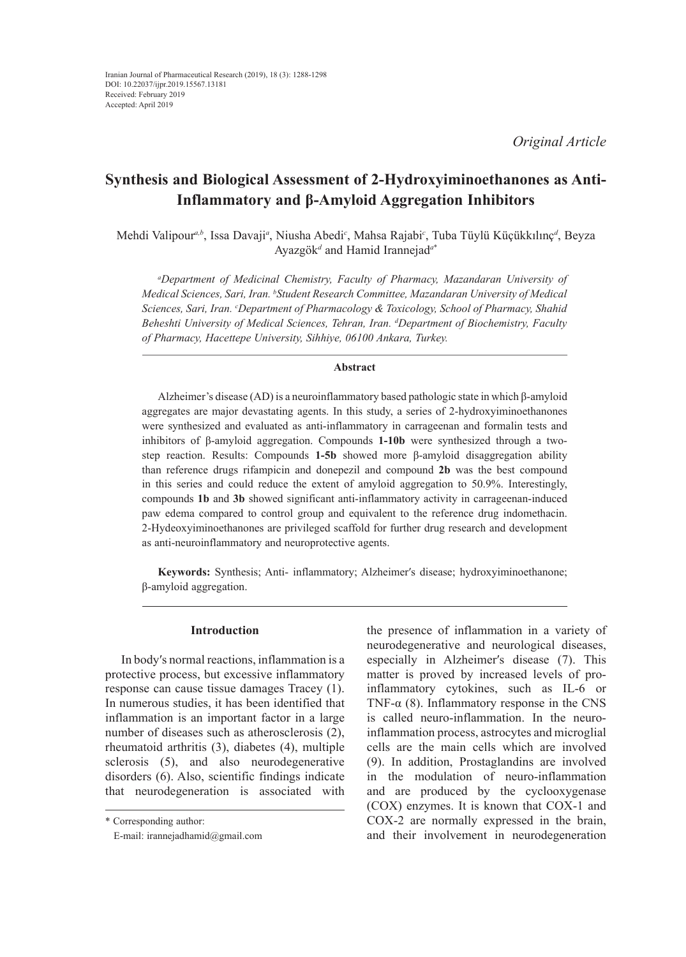*Original Article*

# **Synthesis and Biological Assessment of 2-Hydroxyiminoethanones as Anti-Inflammatory and β-Amyloid Aggregation Inhibitors**

Mehdi Valipour<sup>a,b</sup>, Issa Davaji<sup>a</sup>, Niusha Abedi<sup>c</sup>, Mahsa Rajabi<sup>c</sup>, Tuba Tüylü Küçükkılınç<sup>a</sup>, Beyza Ayazgök*<sup>d</sup>* and Hamid Irannejad*<sup>a</sup>*\*

*a Department of Medicinal Chemistry, Faculty of Pharmacy, Mazandaran University of Medical Sciences, Sari, Iran. b Student Research Committee, Mazandaran University of Medical Sciences, Sari, Iran. <sup>c</sup> Department of Pharmacology & Toxicology, School of Pharmacy, Shahid Beheshti University of Medical Sciences, Tehran, Iran. d Department of Biochemistry, Faculty of Pharmacy, Hacettepe University, Sihhiye, 06100 Ankara, Turkey.*

# **Abstract**

Alzheimer's disease (AD) is a neuroinflammatory based pathologic state in which β-amyloid aggregates are major devastating agents. In this study, a series of 2-hydroxyiminoethanones were synthesized and evaluated as anti-inflammatory in carrageenan and formalin tests and inhibitors of β-amyloid aggregation. Compounds **1-10b** were synthesized through a twostep reaction. Results: Compounds **1-5b** showed more β-amyloid disaggregation ability than reference drugs rifampicin and donepezil and compound **2b** was the best compound in this series and could reduce the extent of amyloid aggregation to 50.9%. Interestingly, compounds **1b** and **3b** showed significant anti-inflammatory activity in carrageenan-induced paw edema compared to control group and equivalent to the reference drug indomethacin. 2-Hydeoxyiminoethanones are privileged scaffold for further drug research and development as anti-neuroinflammatory and neuroprotective agents.

**Keywords:** Synthesis; Anti- inflammatory; Alzheimer′s disease; hydroxyiminoethanone; β-amyloid aggregation.

#### **Introduction**

In body′s normal reactions, inflammation is a protective process, but excessive inflammatory response can cause tissue damages Tracey (1). In numerous studies, it has been identified that inflammation is an important factor in a large number of diseases such as atherosclerosis (2), rheumatoid arthritis (3), diabetes (4), multiple sclerosis (5), and also neurodegenerative disorders (6). Also, scientific findings indicate that neurodegeneration is associated with

the presence of inflammation in a variety of neurodegenerative and neurological diseases, especially in Alzheimer′s disease (7). This matter is proved by increased levels of proinflammatory cytokines, such as IL-6 or TNF- $\alpha$  (8). Inflammatory response in the CNS is called neuro-inflammation. In the neuroinflammation process, astrocytes and microglial cells are the main cells which are involved (9). In addition, Prostaglandins are involved in the modulation of neuro-inflammation and are produced by the cyclooxygenase (COX) enzymes. It is known that COX-1 and COX-2 are normally expressed in the brain, and their involvement in neurodegeneration

<sup>\*</sup> Corresponding author:

E-mail: irannejadhamid@gmail.com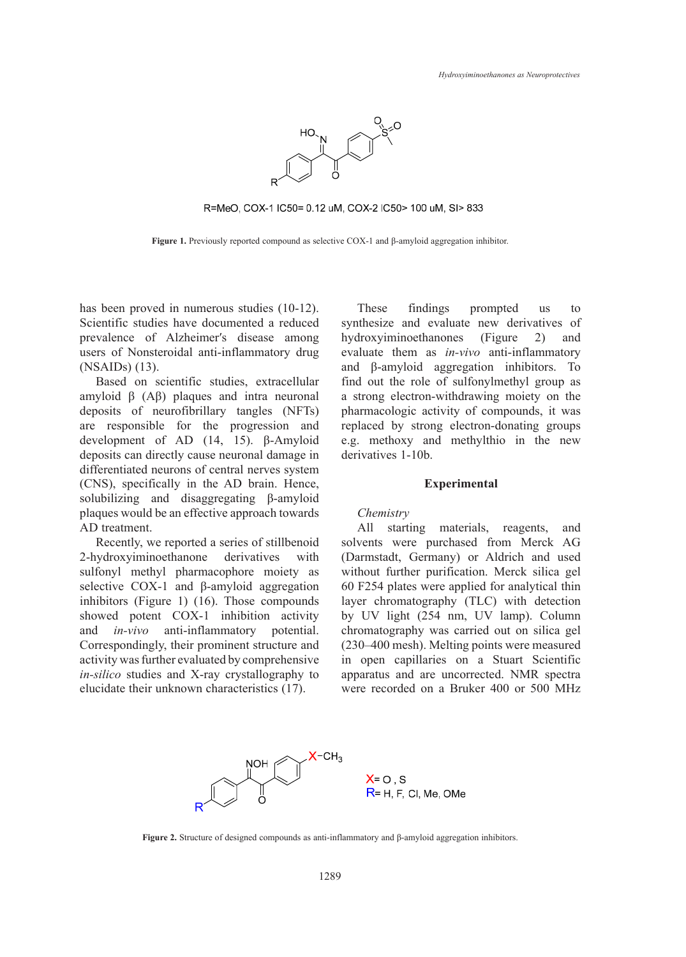

R=MeO, COX-1 IC50= 0.12 uM, COX-2 IC50> 100 uM, SI> 833

**Figure 1**. Previously reported compound as selective COX-1 and β-amyloid **Figure 1.** Previously reported compound as selective COX-1 and β-amyloid aggregation inhibitor.

has been proved in numerous studies (10-12). Scientific studies have documented a reduced prevalence of Alzheimer′s disease among users of Nonsteroidal anti-inflammatory drug (NSAIDs) (13).

Based on scientific studies, extracellular amyloid β (Aβ) plaques and intra neuronal deposits of neurofibrillary tangles (NFTs) are responsible for the progression and development of AD (14, 15). β-Amyloid deposits can directly cause neuronal damage in differentiated neurons of central nerves system (CNS), specifically in the AD brain. Hence, solubilizing and disaggregating β-amyloid plaques would be an effective approach towards AD treatment.

Recently, we reported a series of stillbenoid 2-hydroxyiminoethanone derivatives with sulfonyl methyl pharmacophore moiety as selective COX-1 and β-amyloid aggregation inhibitors (Figure 1) (16). Those compounds showed potent COX-1 inhibition activity and *in-vivo* anti-inflammatory potential. Correspondingly, their prominent structure and activity was further evaluated by comprehensive *in-silico* studies and X-ray crystallography to elucidate their unknown characteristics (17).

These findings prompted us to synthesize and evaluate new derivatives of hydroxyiminoethanones (Figure 2) and evaluate them as *in-vivo* anti-inflammatory and β-amyloid aggregation inhibitors. To find out the role of sulfonylmethyl group as a strong electron-withdrawing moiety on the pharmacologic activity of compounds, it was replaced by strong electron-donating groups e.g. methoxy and methylthio in the new derivatives 1-10b.

### **Experimental**

### *Chemistry*

All starting materials, reagents, and solvents were purchased from Merck AG (Darmstadt, Germany) or Aldrich and used without further purification. Merck silica gel lective COX-1 and  $\beta$ -amyloid aggregation 60 F254 plates were applied for analytical thin layer chromatography (TLC) with detection by UV light (1.54 nm, UV lamp). Column over the COX-1 inhibition activity by UV light (254 nm, UV lamp). Column d *in-vivo* anti-inflammatory potential. chromatography was carried out on silica gel (230–400 mesh). Melting points were measured tivity was further evaluated by comprehensive in open capillaries on a Stuart Scientific apparatus and are uncorrected. NMR spectra extract their master explorating electron-donating the strong electron-donating electron-donating electron-donating electron-donating electron-donating electron-donating electron-donating electron-donating electron-donatin



**Figure 2**. Structure of designed compounds as anti-inflammatory and β-amyloid **Figure 2.** Structure of designed compounds as anti-inflammatory and β-amyloid aggregation inhibitors.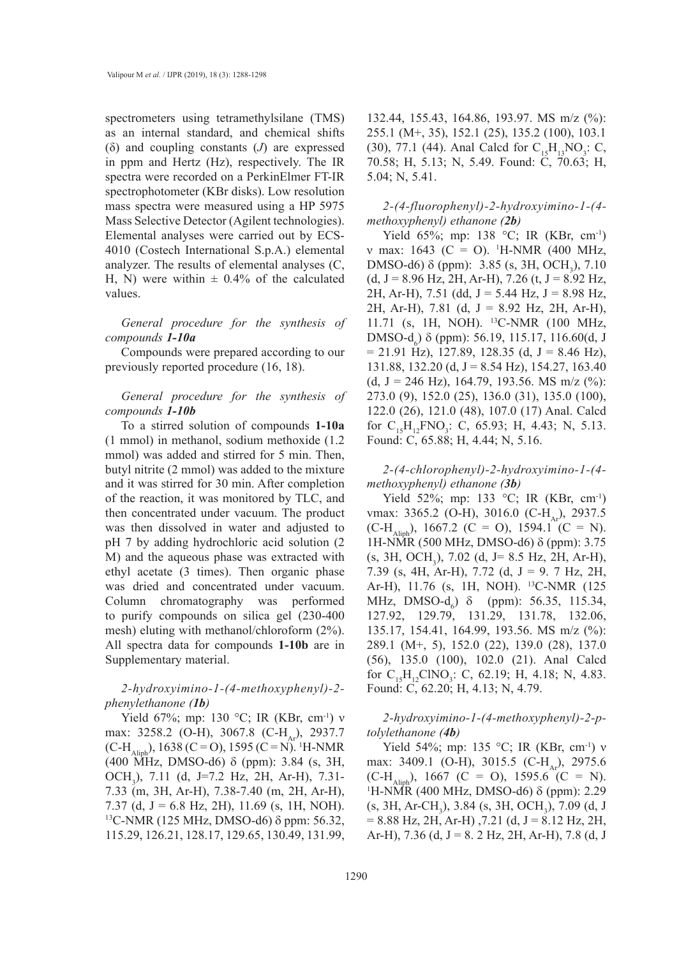spectrometers using tetramethylsilane (TMS) as an internal standard, and chemical shifts (δ) and coupling constants (*J*) are expressed in ppm and Hertz (Hz), respectively. The IR spectra were recorded on a PerkinElmer FT-IR spectrophotometer (KBr disks). Low resolution mass spectra were measured using a HP 5975 Mass Selective Detector (Agilent technologies). Elemental analyses were carried out by ECS-4010 (Costech International S.p.A.) elemental analyzer. The results of elemental analyses (C, H, N) were within  $\pm$  0.4% of the calculated values.

*General procedure for the synthesis of compounds 1-10a*

Compounds were prepared according to our previously reported procedure (16, 18).

# *General procedure for the synthesis of compounds 1-10b*

To a stirred solution of compounds **1-10a** (1 mmol) in methanol, sodium methoxide (1.2 mmol) was added and stirred for 5 min. Then, butyl nitrite (2 mmol) was added to the mixture and it was stirred for 30 min. After completion of the reaction, it was monitored by TLC, and then concentrated under vacuum. The product was then dissolved in water and adjusted to pH 7 by adding hydrochloric acid solution (2 M) and the aqueous phase was extracted with ethyl acetate (3 times). Then organic phase was dried and concentrated under vacuum. Column chromatography was performed to purify compounds on silica gel (230-400 mesh) eluting with methanol/chloroform (2%). All spectra data for compounds **1-10b** are in Supplementary material.

# *2-hydroxyimino-1-(4-methoxyphenyl)-2 phenylethanone (1b)*

Yield 67%; mp: 130 °C; IR (KBr, cm<sup>-1</sup>) ν max: 3258.2 (O-H), 3067.8 (C-H<sub>Ar</sub>), 2937.7  $(C-H<sub>Aliph</sub>)$ , 1638 (C = O), 1595 (C = N). <sup>1</sup>H-NMR (400 MHz, DMSO-d6) δ (ppm): 3.84 (s, 3H, OCH<sub>3</sub>), 7.11 (d, J=7.2 Hz, 2H, Ar-H), 7.31-7.33 (m, 3H, Ar-H), 7.38-7.40 (m, 2H, Ar-H), 7.37 (d,  $J = 6.8$  Hz, 2H), 11.69 (s, 1H, NOH). <sup>13</sup>C-NMR (125 MHz, DMSO-d6) δ ppm: 56.32, 115.29, 126.21, 128.17, 129.65, 130.49, 131.99,

132.44, 155.43, 164.86, 193.97. MS m/z (%): 255.1 (M+, 35), 152.1 (25), 135.2 (100), 103.1 (30), 77.1 (44). Anal Calcd for  $C_{15}H_{13}NO_3$ : C, 70.58; H, 5.13; N, 5.49. Found: C, 70.63; H, 5.04; N, 5.41.

*2-(4-fluorophenyl)-2-hydroxyimino-1-(4 methoxyphenyl) ethanone (2b)*

Yield 65%; mp: 138 °C; IR (KBr, cm<sup>-1</sup>)  $\nu$  max: 1643 (C = O). <sup>1</sup>H-NMR (400 MHz, DMSO-d6)  $\delta$  (ppm): 3.85 (s, 3H, OCH<sub>3</sub>), 7.10  $(d, J = 8.96 \text{ Hz}, 2H, Ar-H), 7.26 \text{ (t, } J = 8.92 \text{ Hz},$ 2H, Ar-H), 7.51 (dd, J = 5.44 Hz, J = 8.98 Hz, 2H, Ar-H), 7.81 (d,  $J = 8.92$  Hz, 2H, Ar-H), 11.71 (s, 1H, NOH). 13C-NMR (100 MHz, DMSO- $d_6$ )  $\delta$  (ppm): 56.19, 115.17, 116.60(d, J  $= 21.91$  Hz), 127.89, 128.35 (d, J = 8.46 Hz), 131.88, 132.20 (d, J = 8.54 Hz), 154.27, 163.40 (d, J = 246 Hz), 164.79, 193.56. MS m/z  $(\%)$ : 273.0 (9), 152.0 (25), 136.0 (31), 135.0 (100), 122.0 (26), 121.0 (48), 107.0 (17) Anal. Calcd for  $C_{15}H_{12}FNO_3$ : C, 65.93; H, 4.43; N, 5.13. Found: C, 65.88; H, 4.44; N, 5.16.

# *2-(4-chlorophenyl)-2-hydroxyimino-1-(4 methoxyphenyl) ethanone (3b)*

Yield 52%; mp: 133 °C; IR (KBr, cm<sup>-1</sup>) vmax: 3365.2 (O-H), 3016.0 (C-H<sub>Ar</sub>), 2937.5 (C-H<sub>Aliph</sub>), 1667.2 (C = O), 1594.1 (C = N). 1H-NMR (500 MHz, DMSO-d6) δ (ppm): 3.75  $(s, 3H, OCH<sub>3</sub>), 7.02$  (d, J= 8.5 Hz, 2H, Ar-H), 7.39 (s, 4H, Ar-H), 7.72 (d, J = 9. 7 Hz, 2H, Ar-H), 11.76 (s, 1H, NOH). 13C-NMR (125 MHz, DMSO- $d_6$ )  $\delta$  (ppm): 56.35, 115.34, 127.92, 129.79, 131.29, 131.78, 132.06, 135.17, 154.41, 164.99, 193.56. MS m/z (%): 289.1 (M+, 5), 152.0 (22), 139.0 (28), 137.0 (56), 135.0 (100), 102.0 (21). Anal Calcd for  $C_{15}H_{12}CINO_3$ : C, 62.19; H, 4.18; N, 4.83. Found: C, 62.20; H, 4.13; N, 4.79.

# *2-hydroxyimino-1-(4-methoxyphenyl)-2-ptolylethanone (4b)*

Yield 54%; mp: 135 °C; IR (KBr, cm<sup>-1</sup>) ν max: 3409.1 (O-H), 3015.5 (C-H<sub>Ar</sub>), 2975.6  $(C-H<sub>atm</sub>)$ , 1667 (C = O), 1595.6 (C = N). <sup>1</sup>H-NMR (400 MHz, DMSO-d6) δ (ppm): 2.29  $(s, 3H, Ar-CH<sub>3</sub>), 3.84 (s, 3H, OCH<sub>3</sub>), 7.09 (d, J)$  $= 8.88$  Hz, 2H, Ar-H), 7.21 (d, J = 8.12 Hz, 2H, Ar-H),  $7.36$  (d,  $J = 8.2$  Hz,  $2H$ , Ar-H),  $7.8$  (d, J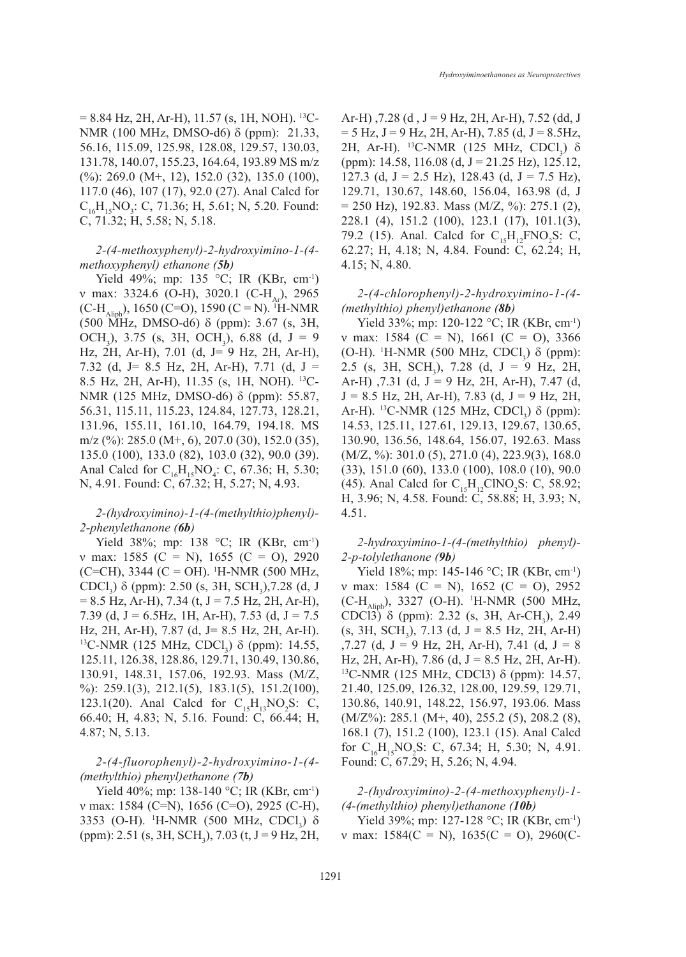$= 8.84$  Hz, 2H, Ar-H), 11.57 (s, 1H, NOH). <sup>13</sup>C-NMR (100 MHz, DMSO-d6)  $\delta$  (ppm): 21.33, 56.16, 115.09, 125.98, 128.08, 129.57, 130.03, 131.78, 140.07, 155.23, 164.64, 193.89 MS m/z (%): 269.0 (M+, 12), 152.0 (32), 135.0 (100), 117.0 (46), 107 (17), 92.0 (27). Anal Calcd for  $C_{16}H_{15}NO_3$ : C, 71.36; H, 5.61; N, 5.20. Found: C, 71.32; H, 5.58; N, 5.18.

## *2-(4-methoxyphenyl)-2-hydroxyimino-1-(4 methoxyphenyl) ethanone (5b)*

Yield 49%; mp: 135 °C; IR (KBr, cm<sup>-1</sup>) v max: 3324.6 (O-H), 3020.1 (C-H<sub> $_{\alpha}$ </sub>), 2965  $(C-H<sub>Aliph</sub>)$ , 1650 (C=O), 1590 (C = N). <sup>1</sup>H-NMR  $(500 \text{ MHz}, \text{ DMSO-d6})$   $\delta$  (ppm): 3.67 (s, 3H, OCH<sub>3</sub>), 3.75 (s, 3H, OCH<sub>3</sub>), 6.88 (d, J = 9 Hz, 2H, Ar-H), 7.01 (d, J= 9 Hz, 2H, Ar-H), 7.32 (d, J= 8.5 Hz, 2H, Ar-H), 7.71 (d, J = 8.5 Hz, 2H, Ar-H), 11.35 (s, 1H, NOH). 13C-NMR (125 MHz, DMSO-d6) δ (ppm): 55.87, 56.31, 115.11, 115.23, 124.84, 127.73, 128.21, 131.96, 155.11, 161.10, 164.79, 194.18. MS m/z (%): 285.0 (M+, 6), 207.0 (30), 152.0 (35), 135.0 (100), 133.0 (82), 103.0 (32), 90.0 (39). Anal Calcd for  $C_{16}H_{15}NO_4$ : C, 67.36; H, 5.30; N, 4.91. Found: C, 67.32; H, 5.27; N, 4.93.

# *2-(hydroxyimino)-1-(4-(methylthio)phenyl)- 2-phenylethanone (6b)*

Yield 38%; mp: 138 °C; IR (KBr, cm<sup>-1</sup>) v max: 1585 (C = N), 1655 (C = O), 2920 (C=CH), 3344 (C = OH). 1 H-NMR (500 MHz, CDCl<sub>3</sub>)  $\delta$  (ppm): 2.50 (s, 3H, SCH<sub>3</sub>),7.28 (d, J  $= 8.5$  Hz, Ar-H), 7.34 (t, J = 7.5 Hz, 2H, Ar-H), 7.39 (d,  $J = 6.5$ Hz, 1H, Ar-H), 7.53 (d,  $J = 7.5$ Hz, 2H, Ar-H), 7.87 (d, J= 8.5 Hz, 2H, Ar-H). <sup>13</sup>C-NMR (125 MHz, CDCl<sub>3</sub>) δ (ppm): 14.55, 125.11, 126.38, 128.86, 129.71, 130.49, 130.86, 130.91, 148.31, 157.06, 192.93. Mass (M/Z, %): 259.1(3), 212.1(5), 183.1(5), 151.2(100), 123.1(20). Anal Calcd for  $C_{15}H_{13}NO_2S$ : C, 66.40; H, 4.83; N, 5.16. Found: C, 66.44; H, 4.87; N, 5.13.

*2-(4-fluorophenyl)-2-hydroxyimino-1-(4- (methylthio) phenyl)ethanone (7b)*

Yield 40%; mp: 138-140 °C; IR (KBr, cm<sup>-1</sup>) ν max: 1584 (C=N), 1656 (C=O), 2925 (C-H), 3353 (O-H). <sup>1</sup>H-NMR (500 MHz, CDCl<sub>3</sub>)  $\delta$ (ppm): 2.51 (s, 3H, SCH<sub>3</sub>), 7.03 (t, J = 9 Hz, 2H,

Ar-H),  $7.28$  (d,  $J = 9$  Hz,  $2H$ , Ar-H),  $7.52$  (dd, J  $= 5$  Hz, J = 9 Hz, 2H, Ar-H), 7.85 (d, J = 8.5Hz, 2H, Ar-H). <sup>13</sup>C-NMR (125 MHz, CDCl<sub>3</sub>) δ (ppm): 14.58, 116.08 (d, J = 21.25 Hz), 125.12, 127.3 (d,  $J = 2.5$  Hz), 128.43 (d,  $J = 7.5$  Hz), 129.71, 130.67, 148.60, 156.04, 163.98 (d, J  $= 250$  Hz), 192.83. Mass (M/Z, %): 275.1 (2), 228.1 (4), 151.2 (100), 123.1 (17), 101.1(3), 79.2 (15). Anal. Calcd for  $C_{15}H_{12}FNO_2S$ : C, 62.27; H, 4.18; N, 4.84. Found: C, 62.24; H, 4.15; N, 4.80.

# *2-(4-chlorophenyl)-2-hydroxyimino-1-(4- (methylthio) phenyl)ethanone (8b)*

Yield 33%; mp: 120-122 °C; IR (KBr, cm<sup>-1</sup>) v max: 1584 (C = N), 1661 (C = O), 3366 (O-H). <sup>1</sup>H-NMR (500 MHz, CDCl<sub>3</sub>)  $\delta$  (ppm): 2.5 (s, 3H, SCH<sub>3</sub>), 7.28 (d, J = 9 Hz, 2H, Ar-H) ,7.31 (d, J = 9 Hz, 2H, Ar-H), 7.47 (d,  $J = 8.5$  Hz, 2H, Ar-H), 7.83 (d,  $J = 9$  Hz, 2H, Ar-H). <sup>13</sup>C-NMR (125 MHz, CDCl<sub>3</sub>)  $\delta$  (ppm): 14.53, 125.11, 127.61, 129.13, 129.67, 130.65, 130.90, 136.56, 148.64, 156.07, 192.63. Mass (M/Z, %): 301.0 (5), 271.0 (4), 223.9(3), 168.0 (33), 151.0 (60), 133.0 (100), 108.0 (10), 90.0 (45). Anal Calcd for  $C_{15}H_{12}CINO_2S$ : C, 58.92; H, 3.96; N, 4.58. Found: C, 58.88; H, 3.93; N, 4.51.

*2-hydroxyimino-1-(4-(methylthio) phenyl)- 2-p-tolylethanone (9b)*

Yield 18%; mp: 145-146 °C; IR (KBr, cm<sup>-1</sup>) ν max: 1584 (C = N), 1652 (C = O), 2952 (C-H<sub>Aliph</sub>), 3327 (O-H). <sup>1</sup>H-NMR (500 MHz, CDCl3)  $\delta$  (ppm): 2.32 (s, 3H, Ar-CH<sub>3</sub>), 2.49  $(s, 3H, SCH<sub>3</sub>)$ , 7.13 (d, J = 8.5 Hz, 2H, Ar-H) ,7.27 (d,  $J = 9$  Hz, 2H, Ar-H), 7.41 (d,  $J = 8$ Hz, 2H, Ar-H), 7.86 (d, J = 8.5 Hz, 2H, Ar-H). <sup>13</sup>C-NMR (125 MHz, CDCl3) δ (ppm): 14.57, 21.40, 125.09, 126.32, 128.00, 129.59, 129.71, 130.86, 140.91, 148.22, 156.97, 193.06. Mass (M/Z%): 285.1 (M+, 40), 255.2 (5), 208.2 (8), 168.1 (7), 151.2 (100), 123.1 (15). Anal Calcd for  $C_{16}H_{15}NO_2S$ : C, 67.34; H, 5.30; N, 4.91. Found: C, 67.29; H, 5.26; N, 4.94.

*2-(hydroxyimino)-2-(4-methoxyphenyl)-1- (4-(methylthio) phenyl)ethanone (10b)*

Yield 39%; mp: 127-128 °C; IR (KBr, cm<sup>-1</sup>) v max:  $1584(C = N)$ ,  $1635(C = O)$ ,  $2960(C - C)$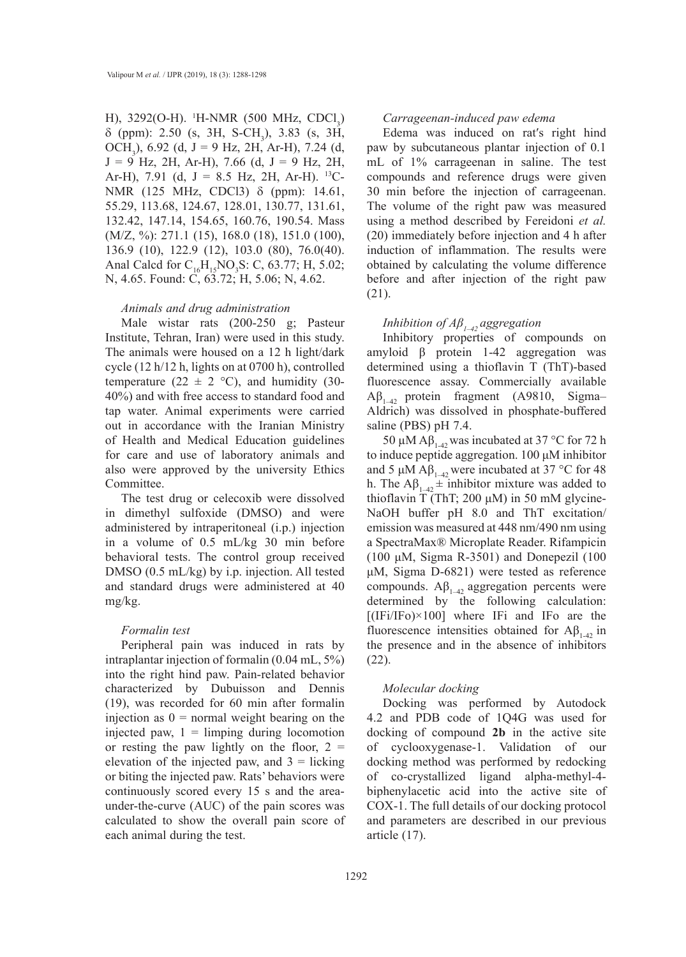H), 3292(O-H).  ${}^{1}$ H-NMR (500 MHz, CDCl<sub>3</sub>) d (ppm): 2.50 (s, 3H, S-CH3 ), 3.83 (s, 3H, OCH<sub>3</sub>), 6.92 (d, J = 9 Hz, 2H, Ar-H), 7.24 (d,  $J = 9$  Hz, 2H, Ar-H), 7.66 (d,  $J = 9$  Hz, 2H, Ar-H), 7.91 (d,  $J = 8.5$  Hz, 2H, Ar-H). <sup>13</sup>C-NMR (125 MHz, CDCl3) δ (ppm): 14.61, 55.29, 113.68, 124.67, 128.01, 130.77, 131.61, 132.42, 147.14, 154.65, 160.76, 190.54. Mass (M/Z, %): 271.1 (15), 168.0 (18), 151.0 (100), 136.9 (10), 122.9 (12), 103.0 (80), 76.0(40). Anal Calcd for  $C_{16}H_{15}NO_3S$ : C, 63.77; H, 5.02; N, 4.65. Found: C, 63.72; H, 5.06; N, 4.62.

#### *Animals and drug administration*

Male wistar rats (200-250 g; Pasteur Institute, Tehran, Iran) were used in this study. The animals were housed on a 12 h light/dark cycle (12 h/12 h, lights on at 0700 h), controlled temperature (22  $\pm$  2 °C), and humidity (30-40%) and with free access to standard food and tap water. Animal experiments were carried out in accordance with the Iranian Ministry of Health and Medical Education guidelines for care and use of laboratory animals and also were approved by the university Ethics Committee.

The test drug or celecoxib were dissolved in dimethyl sulfoxide (DMSO) and were administered by intraperitoneal (i.p.) injection in a volume of 0.5 mL/kg 30 min before behavioral tests. The control group received DMSO (0.5 mL/kg) by i.p. injection. All tested and standard drugs were administered at 40 mg/kg.

#### *Formalin test*

Peripheral pain was induced in rats by intraplantar injection of formalin (0.04 mL, 5%) into the right hind paw. Pain-related behavior characterized by Dubuisson and Dennis (19), was recorded for 60 min after formalin injection as  $0 =$  normal weight bearing on the injected paw,  $1 =$  limping during locomotion or resting the paw lightly on the floor,  $2 =$ elevation of the injected paw, and  $3 =$  licking or biting the injected paw. Rats' behaviors were continuously scored every 15 s and the areaunder-the-curve (AUC) of the pain scores was calculated to show the overall pain score of each animal during the test.

#### *Carrageenan-induced paw edema*

Edema was induced on rat′s right hind paw by subcutaneous plantar injection of 0.1 mL of 1% carrageenan in saline. The test compounds and reference drugs were given 30 min before the injection of carrageenan. The volume of the right paw was measured using a method described by Fereidoni *et al.* (20) immediately before injection and 4 h after induction of inflammation. The results were obtained by calculating the volume difference before and after injection of the right paw (21).

# *Inhibition of Aβ1–42 aggregation*

Inhibitory properties of compounds on amyloid β protein 1-42 aggregation was determined using a thioflavin T (ThT)-based fluorescence assay. Commercially available  $A\beta_{1-42}$  protein fragment (A9810, Sigma– Aldrich) was dissolved in phosphate-buffered saline (PBS) pH 7.4.

50 μM Aβ<sub>1-42</sub> was incubated at 37 °C for 72 h to induce peptide aggregation. 100 μM inhibitor and 5 μM  $\text{AB}_{1-42}$  were incubated at 37 °C for 48 h. The  $A\beta_{1-42}$  ± inhibitor mixture was added to thioflavin T (ThT; 200 μM) in 50 mM glycine-NaOH buffer pH 8.0 and ThT excitation/ emission was measured at 448 nm/490 nm using a SpectraMax® Microplate Reader. Rifampicin (100  $\mu$ M, Sigma R-3501) and Donepezil (100 μM, Sigma D-6821) were tested as reference compounds.  $A\beta_{1-42}$  aggregation percents were determined by the following calculation: [(IFi/IFo)×100] where IFi and IFo are the fluorescence intensities obtained for  $A\beta_{1-42}$  in the presence and in the absence of inhibitors (22).

### *Molecular docking*

Docking was performed by Autodock 4.2 and PDB code of 1Q4G was used for docking of compound **2b** in the active site of cyclooxygenase-1. Validation of our docking method was performed by redocking of co-crystallized ligand alpha-methyl-4 biphenylacetic acid into the active site of COX-1. The full details of our docking protocol and parameters are described in our previous article (17).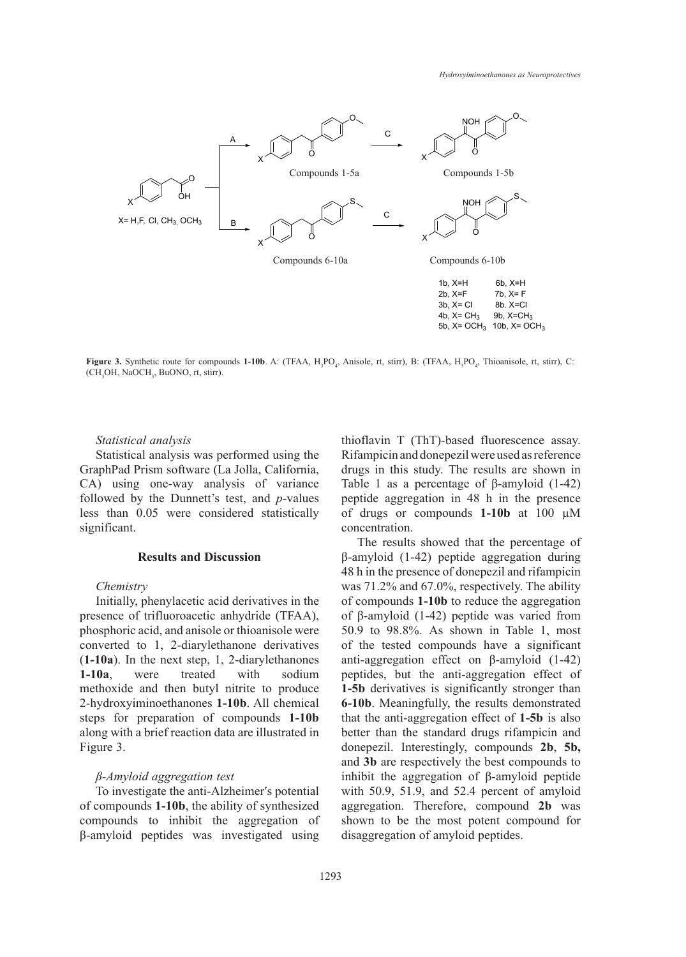

**Figure 3**. Synthetic route for compounds **1-10b**. A: (TFAA, H3PO4, Anisole, rt, **Figure 3.** Synthetic route for compounds **1-10b**. A: (TFAA,  $H_3PO_4$ , Anisole, rt, stirr), B: (TFAA,  $H_3PO_4$ , Thioanisole, rt, stirr), C: (CH<sub>3</sub>OH, NaOCH<sub>3</sub>, BuONO, rt, stirr).

## *Statistical analysis*

Statistical analysis was performed using the GraphPad Prism software (La Jolla, California, CA) using one-way analysis of variance *followed by the Dunnett's test, and <i>p*-values less than 0.05 were considered statistically significant.

### **Results and Discussion**

#### *Chemistry*

Initially, phenylacetic acid derivatives in the presence of trifluoroacetic anhydride (TFAA), phosphoric acid, and anisole or thioanisole were 50.9 to 98.8%. As s converted to 1, 2-diarylethanone derivatives (**1-10a**). In the next step, 1, 2-diarylethanones **1-10a**, were treated with sodium methoxide and then butyl nitrite to produce 2-hydroxyiminoethanones **1-10b**. All chemical steps for preparation of compounds **1-10b** along with a brief reaction data are illustrated in Figure 3.

### *β-Amyloid aggregation test*

To investigate the anti-Alzheimer′s potential of compounds **1-10b**, the ability of synthesized compounds to inhibit the aggregation of β-amyloid peptides was investigated using

thioflavin T (ThT)-based fluorescence assay. Rifampicin and donepezil were used as reference drugs in this study. The results are shown in Table 1 as a percentage of β-amyloid (1-42) peptide aggregation in 48 h in the presence an  $0.05$  were considered statistically of drugs or compounds **1-10b** at 100  $\mu$ M concentration.

The results showed that the percentage of The results showed that the percentage of Results and Discussion  $\beta$ -amyloid (1-42) peptide aggregation during 48 h in the presence of donepezil and rifampicin mistry was 71.2% and 67.0%, respectively. The ability ally, phenylacetic acid derivatives in the of compounds 1-10b to reduce the aggregation of β-amyloid (1-42) peptide was varied from 50.9 to 98.8%. As shown in Table 1, most of the tested compounds have a significant anti-aggregation effect on β-amyloid (1-42) peptides, but the anti-aggregation effect of **1-5b** derivatives is significantly stronger than **6-10b**. Meaningfully, the results demonstrated that the anti-aggregation effect of **1-5b** is also better than the standard drugs rifampicin and donepezil. Interestingly, compounds **2b**, **5b,** and **3b** are respectively the best compounds to inhibit the aggregation of β-amyloid peptide with 50.9, 51.9, and 52.4 percent of amyloid aggregation. Therefore, compound **2b** was shown to be the most potent compound for disaggregation of amyloid peptides.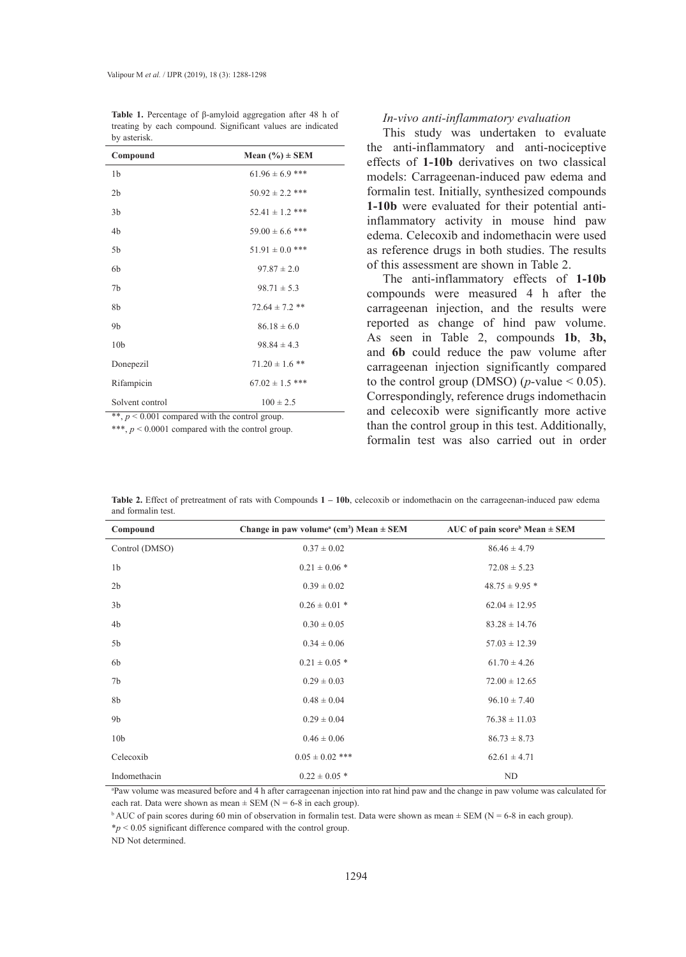| <b>WOVESDAR</b>                                  |                      |  |  |  |
|--------------------------------------------------|----------------------|--|--|--|
| Compound                                         | Mean $(\% ) \pm$ SEM |  |  |  |
| 1 <sub>b</sub>                                   | $61.96 \pm 6.9$ ***  |  |  |  |
| 2 <sub>b</sub>                                   | $50.92 \pm 2.2$ ***  |  |  |  |
| 3b                                               | $52.41 \pm 1.2$ ***  |  |  |  |
| 4b                                               | $59.00 \pm 6.6$ ***  |  |  |  |
| 5 <sub>b</sub>                                   | $51.91 \pm 0.0$ ***  |  |  |  |
| 6b                                               | $97.87 \pm 2.0$      |  |  |  |
| 7b                                               | $98.71 \pm 5.3$      |  |  |  |
| 8b                                               | $72.64 \pm 7.2$ **   |  |  |  |
| 9 <sub>b</sub>                                   | $86.18 \pm 6.0$      |  |  |  |
| 10 <sub>b</sub>                                  | $98.84 \pm 4.3$      |  |  |  |
| Donepezil                                        | $71.20 \pm 1.6$ **   |  |  |  |
| Rifampicin                                       | $67.02 \pm 1.5$ ***  |  |  |  |
| Solvent control                                  | $100 \pm 2.5$        |  |  |  |
| **, $p < 0.001$ compared with the control group. |                      |  |  |  |

**Table 1.** Percentage of β-amyloid aggregation after 48 h of treating by each compound. Significant values are indicated by asterisk.

\*\*\*,  $p < 0.0001$  compared with the control group.

### *In-vivo anti-inflammatory evaluation*

This study was undertaken to evaluate the anti-inflammatory and anti-nociceptive effects of **1-10b** derivatives on two classical models: Carrageenan-induced paw edema and formalin test. Initially, synthesized compounds **1-10b** were evaluated for their potential antiinflammatory activity in mouse hind paw edema. Celecoxib and indomethacin were used as reference drugs in both studies. The results of this assessment are shown in Table 2.

The anti-inflammatory effects of **1-10b** compounds were measured 4 h after the carrageenan injection, and the results were reported as change of hind paw volume. As seen in Table 2, compounds **1b**, **3b,** and **6b** could reduce the paw volume after carrageenan injection significantly compared to the control group (DMSO) ( $p$ -value  $< 0.05$ ). Correspondingly, reference drugs indomethacin and celecoxib were significantly more active than the control group in this test. Additionally, formalin test was also carried out in order

| <b>Table 2.</b> Effect of pretreatment of rats with Compounds $1 - 10b$ , celecoxib or indomethacin on the carrageenan-induced paw edema |  |  |  |  |  |  |
|------------------------------------------------------------------------------------------------------------------------------------------|--|--|--|--|--|--|
| and formalin test.                                                                                                                       |  |  |  |  |  |  |

| Compound        | Change in paw volume <sup>a</sup> (cm <sup>3</sup> ) Mean $\pm$ SEM | AUC of pain score <sup>b</sup> Mean $\pm$ SEM |
|-----------------|---------------------------------------------------------------------|-----------------------------------------------|
| Control (DMSO)  | $0.37 \pm 0.02$                                                     | $86.46 \pm 4.79$                              |
| 1 <sub>b</sub>  | $0.21 \pm 0.06$ *                                                   | $72.08 \pm 5.23$                              |
| 2 <sub>b</sub>  | $0.39 \pm 0.02$                                                     | $48.75 \pm 9.95$ *                            |
| 3 <sub>b</sub>  | $0.26 \pm 0.01$ *                                                   | $62.04 \pm 12.95$                             |
| 4b              | $0.30 \pm 0.05$                                                     | $83.28 \pm 14.76$                             |
| 5b              | $0.34 \pm 0.06$                                                     | $57.03 \pm 12.39$                             |
| 6b              | $0.21 \pm 0.05$ *                                                   | $61.70 \pm 4.26$                              |
| 7 <sub>b</sub>  | $0.29 \pm 0.03$                                                     | $72.00 \pm 12.65$                             |
| 8b              | $0.48 \pm 0.04$                                                     | $96.10 \pm 7.40$                              |
| 9 <sub>b</sub>  | $0.29 \pm 0.04$                                                     | $76.38 \pm 11.03$                             |
| 10 <sub>b</sub> | $0.46 \pm 0.06$                                                     | $86.73 \pm 8.73$                              |
| Celecoxib       | $0.05 \pm 0.02$ ***                                                 | $62.61 \pm 4.71$                              |
| Indomethacin    | $0.22 \pm 0.05$ *                                                   | ND                                            |

a Paw volume was measured before and 4 h after carrageenan injection into rat hind paw and the change in paw volume was calculated for each rat. Data were shown as mean  $\pm$  SEM (N = 6-8 in each group).

 $b$ AUC of pain scores during 60 min of observation in formalin test. Data were shown as mean  $\pm$  SEM (N = 6-8 in each group).

\**p* < 0.05 significant difference compared with the control group.

ND Not determined.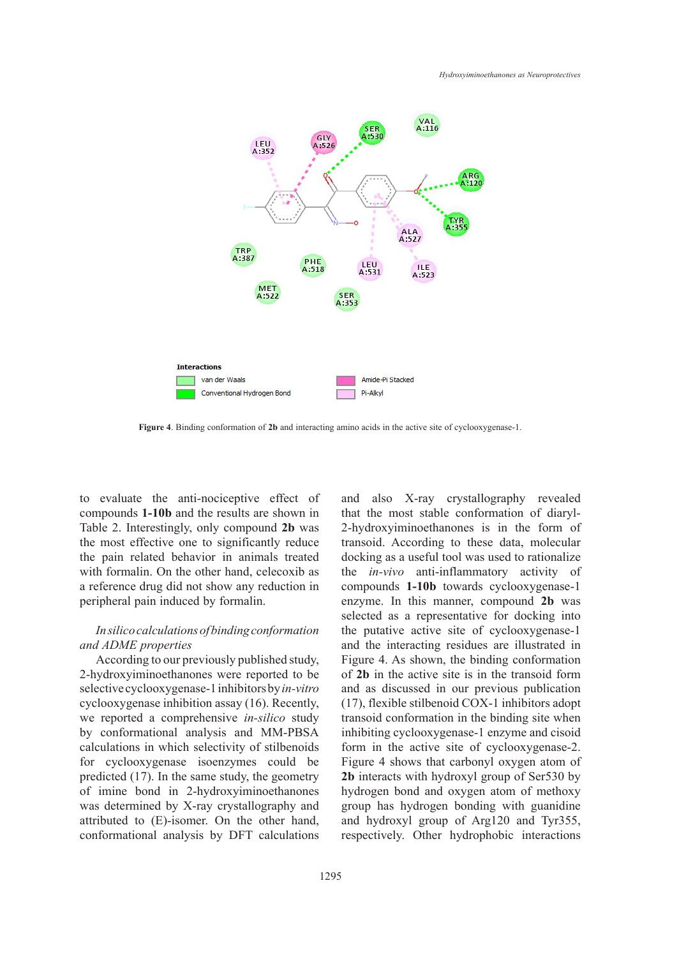

**Figure 4**. Binding conformation of **2b** and interacting amino acids in the active site **Figure 4**. Binding conformation of **2b** and interacting amino acids in the active site of cyclooxygenase-1.

to evaluate the anti-nociceptive effect of compounds **1-10b** and the results are shown in Table 2. Interestingly, only compound **2b** was the most effective one to significantly reduce the pain related behavior in animals treated with formalin. On the other hand, celecoxib as a reference drug did not show any reduction in peripheral pain induced by formalin.

# *In silico calculations of binding conformation and ADME properties*

According to our previously published study, 2-hydroxyiminoethanones were reported to be selective cyclooxygenase-1 inhibitors by *in-vitro* cyclooxygenase inhibition assay (16). Recently, we reported a comprehensive *in-silico* study by conformational analysis and MM-PBSA calculations in which selectivity of stilbenoids for cyclooxygenase isoenzymes could be predicted (17). In the same study, the geometry of imine bond in 2-hydroxyiminoethanones was determined by X-ray crystallography and attributed to (E)-isomer. On the other hand, conformational analysis by DFT calculations

and also X-ray crystallography revealed and the results are shown in that the most stable conformation of diaryl-2-hydroxyiminoethanones is in the form of transpose to significantly reduce transoid. According to these data, molecular and representative representation of behavior in animals treated docking as a useful tool was used to rationalize the *in-vivo* anti-inflammatory activity of lid not show any reduction in compounds 1-10b towards cyclooxygenase-1 enzyme. In this manner, compound **2b** was selected as a representative for docking into the putative active site of cyclooxygenase-1 and the interacting residues are illustrated in<br>
and the interacting residues are illustrated in Figure 4. As shown, the binding conformation  $\frac{1}{2}$  for  $\frac{1}{2}$  required to  $\frac{1}{2}$  at real particle property of  $\frac{1}{2}$  for  $\frac{1}{2}$  for  $\frac{1}{2}$  for  $\frac{1}{2}$  for  $\frac{1}{2}$  for  $\frac{1}{2}$  for  $\frac{1}{2}$  for  $\frac$ of **2b** in the active site is in the transoid form and as discussed in our previous publication (17), flexible stilbenoid COX-1 inhibitors adopt transoid conformation in the binding site when inhibiting cyclooxygenase-1 enzyme and cisoid analysis and MM-PBSA inhibiting cyclooxygenase-1 enzyme and cisoid ich selectivity of stilbenoids form in the active site of cyclooxygenase-2. Figure 4 shows that carbonyl oxygen atom of the same study, the geometry  $2b$  interacts with hydroxyl group of Ser530 by hydrogen bond and oxygen atom of methoxy group has hydrogen bonding with guanidine and hydroxyl group of Arg120 and Tyr355, respectively. Other hydrophobic interactions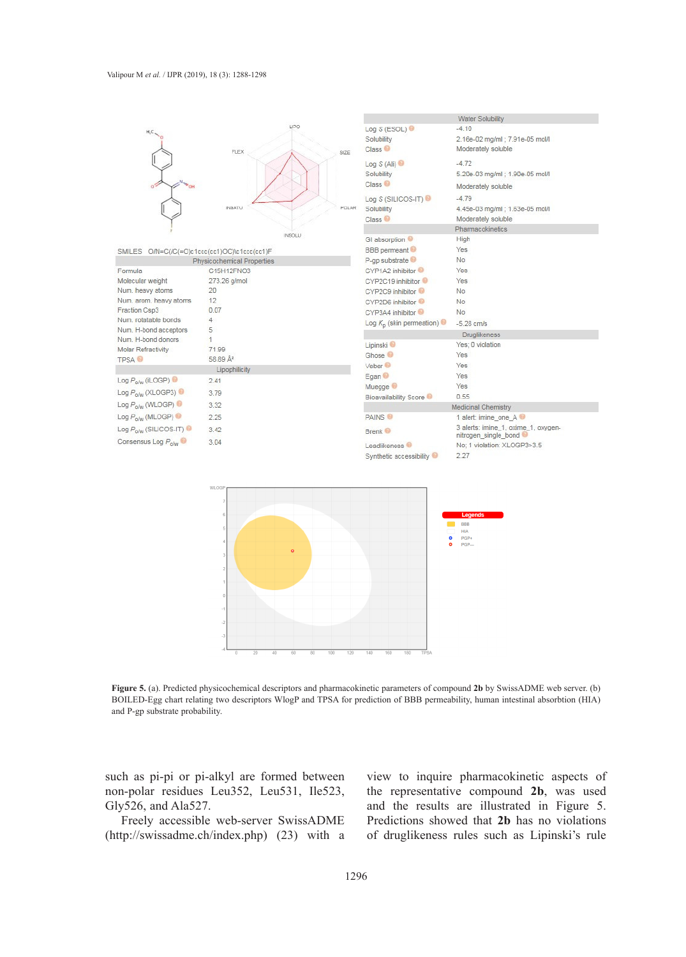

**Figure 5.** (a). Predicted physicochemical descriptors and pharmacokinetic parameters of compound **2b** by SwissADME web server. (b)<br>BOU ED Egg short relative two descriptors WleeD and TBSA for argeliation of BBB acquired i BOILED-Egg chart relating two descriptors WlogP and TPSA for prediction of BBB permeability, human intestinal absorbtion (HIA) and P-gp substrate probability. and P-gp substrate probability.

such as pi-pi or pi-alkyl are formed between non-polar residues Leu352, Leu531, Ile523, Gly526, and Ala527.

Freely accessible web-server SwissADME (http://swissadme.ch/index.php) (23) with a

view to inquire pharmacokinetic aspects of In summary, a series of the results are illustrated in Figure 5. Predictions showed that **2b** has no violations /index.php) (23) with a of druglikeness rules such as Lipinski's rule the representative compound **2b**, was used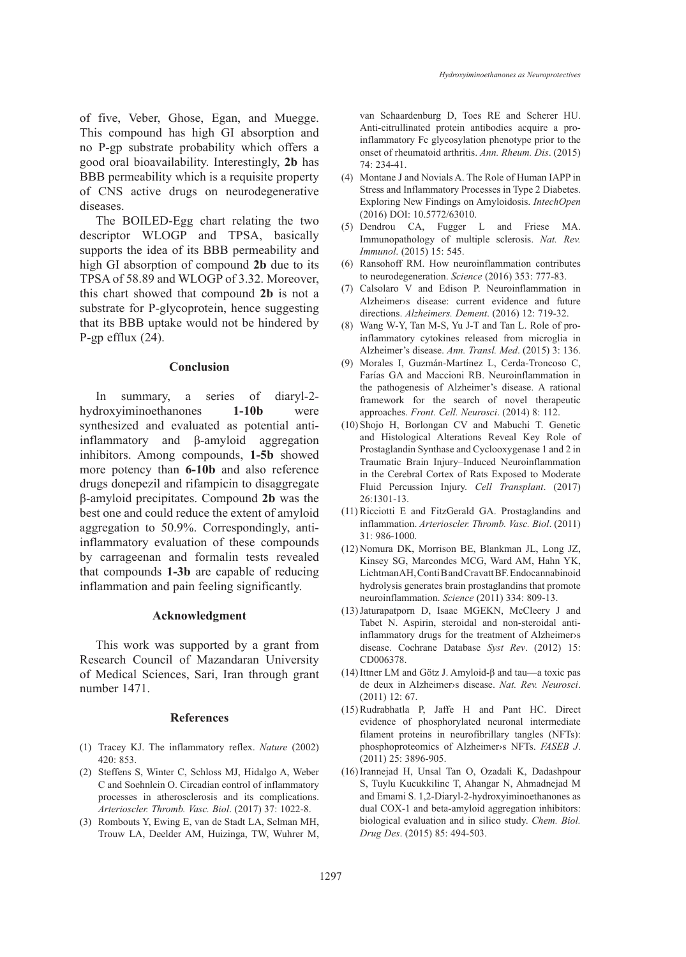of five, Veber, Ghose, Egan, and Muegge. This compound has high GI absorption and no P-gp substrate probability which offers a good oral bioavailability. Interestingly, **2b** has BBB permeability which is a requisite property of CNS active drugs on neurodegenerative diseases.

The BOILED-Egg chart relating the two descriptor WLOGP and TPSA, basically supports the idea of its BBB permeability and high GI absorption of compound **2b** due to its TPSA of 58.89 and WLOGP of 3.32. Moreover, this chart showed that compound **2b** is not a substrate for P-glycoprotein, hence suggesting that its BBB uptake would not be hindered by P-gp efflux (24).

#### **Conclusion**

In summary, a series of diaryl-2 hydroxyiminoethanones **1-10b** were synthesized and evaluated as potential antiinflammatory and β-amyloid aggregation inhibitors. Among compounds, **1-5b** showed more potency than **6-10b** and also reference drugs donepezil and rifampicin to disaggregate β-amyloid precipitates. Compound **2b** was the best one and could reduce the extent of amyloid aggregation to 50.9%. Correspondingly, antiinflammatory evaluation of these compounds by carrageenan and formalin tests revealed that compounds **1-3b** are capable of reducing inflammation and pain feeling significantly.

### **Acknowledgment**

This work was supported by a grant from Research Council of Mazandaran University of Medical Sciences, Sari, Iran through grant number 1471.

### **References**

- (1) Tracey KJ. The inflammatory reflex. *Nature* (2002) 420: 853.
- (2) Steffens S, Winter C, Schloss MJ, Hidalgo A, Weber C and Soehnlein O. Circadian control of inflammatory processes in atherosclerosis and its complications. *Arterioscler. Thromb. Vasc. Biol*. (2017) 37: 1022-8.
- (3) Rombouts Y, Ewing E, van de Stadt LA, Selman MH, Trouw LA, Deelder AM, Huizinga, TW, Wuhrer M,

van Schaardenburg D, Toes RE and Scherer HU. Anti-citrullinated protein antibodies acquire a proinflammatory Fc glycosylation phenotype prior to the onset of rheumatoid arthritis. *Ann. Rheum. Dis*. (2015) 74: 234-41.

- (4) Montane J and Novials A. The Role of Human IAPP in Stress and Inflammatory Processes in Type 2 Diabetes. Exploring New Findings on Amyloidosis. *IntechOpen* (2016) DOI: 10.5772/63010.
- Dendrou CA, Fugger L and Friese MA. (5) Immunopathology of multiple sclerosis. *Nat. Rev. Immunol*. (2015) 15: 545.
- (6) Ransohoff RM. How neuroinflammation contributes to neurodegeneration. *Science* (2016) 353: 777-83.
- Calsolaro V and Edison P. Neuroinflammation in (7) Alzheimer›s disease: current evidence and future directions. *Alzheimers. Dement*. (2016) 12: 719-32.
- Wang W-Y, Tan M-S, Yu J-T and Tan L. Role of pro-(8) inflammatory cytokines released from microglia in Alzheimer's disease. *Ann. Transl. Med*. (2015) 3: 136.
- Morales I, Guzmán-Martínez L, Cerda-Troncoso C, (9) Farías GA and Maccioni RB. Neuroinflammation in the pathogenesis of Alzheimer's disease. A rational framework for the search of novel therapeutic approaches. *Front. Cell. Neurosci*. (2014) 8: 112.
- (10) Shojo H, Borlongan CV and Mabuchi T. Genetic and Histological Alterations Reveal Key Role of Prostaglandin Synthase and Cyclooxygenase 1 and 2 in Traumatic Brain Injury–Induced Neuroinflammation in the Cerebral Cortex of Rats Exposed to Moderate Fluid Percussion Injury. *Cell Transplant*. (2017) 26:1301-13.
- $(11)$  Ricciotti E and FitzGerald GA. Prostaglandins and inflammation. *Arterioscler. Thromb. Vasc. Biol*. (2011) 31: 986-1000.
- (12) Nomura DK, Morrison BE, Blankman JL, Long JZ, Kinsey SG, Marcondes MCG, Ward AM, Hahn YK, Lichtman AH, Conti B and Cravatt BF. Endocannabinoid hydrolysis generates brain prostaglandins that promote neuroinflammation. *Science* (2011) 334: 809-13.
- (13) Jaturapatporn D, Isaac MGEKN, McCleery J and Tabet N. Aspirin, steroidal and non-steroidal antiinflammatory drugs for the treatment of Alzheimer›s disease. Cochrane Database *Syst Rev*. (2012) 15: CD006378.
- (14) Ittner LM and Götz J. Amyloid-β and tau—a toxic pas de deux in Alzheimer›s disease. *Nat. Rev. Neurosci*. (2011) 12: 67.
- $(15)$  Rudrabhatla P, Jaffe H and Pant HC. Direct evidence of phosphorylated neuronal intermediate filament proteins in neurofibrillary tangles (NFTs): phosphoproteomics of Alzheimer›s NFTs. *FASEB J*. (2011) 25: 3896-905.
- (16) Irannejad H, Unsal Tan O, Ozadali K, Dadashpour S, Tuylu Kucukkilinc T, Ahangar N, Ahmadnejad M and Emami S. 1,2-Diaryl-2-hydroxyiminoethanones as dual COX-1 and beta-amyloid aggregation inhibitors: biological evaluation and in silico study. *Chem. Biol. Drug Des*. (2015) 85: 494-503.